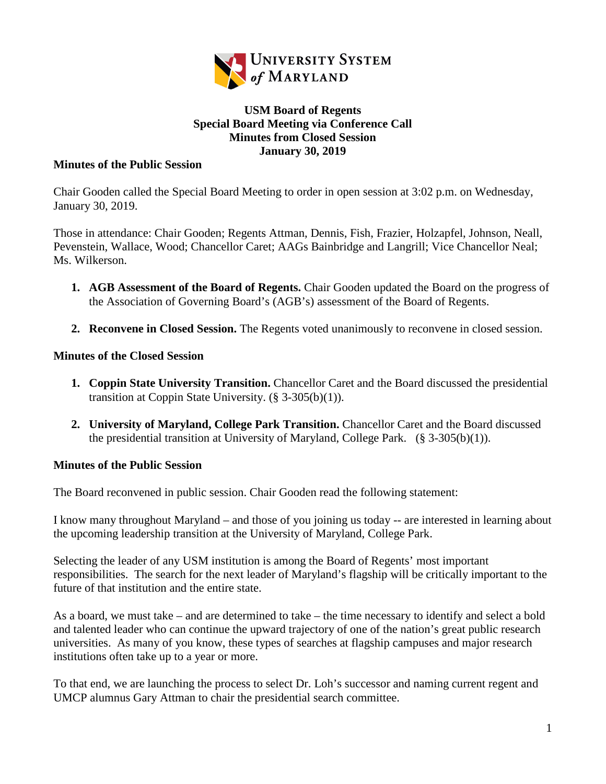

## **USM Board of Regents Special Board Meeting via Conference Call Minutes from Closed Session January 30, 2019**

## **Minutes of the Public Session**

Chair Gooden called the Special Board Meeting to order in open session at 3:02 p.m. on Wednesday, January 30, 2019.

Those in attendance: Chair Gooden; Regents Attman, Dennis, Fish, Frazier, Holzapfel, Johnson, Neall, Pevenstein, Wallace, Wood; Chancellor Caret; AAGs Bainbridge and Langrill; Vice Chancellor Neal; Ms. Wilkerson.

- **1. AGB Assessment of the Board of Regents.** Chair Gooden updated the Board on the progress of the Association of Governing Board's (AGB's) assessment of the Board of Regents.
- **2. Reconvene in Closed Session.** The Regents voted unanimously to reconvene in closed session.

## **Minutes of the Closed Session**

- **1. Coppin State University Transition.** Chancellor Caret and the Board discussed the presidential transition at Coppin State University. (§ 3-305(b)(1)).
- **2. University of Maryland, College Park Transition.** Chancellor Caret and the Board discussed the presidential transition at University of Maryland, College Park.  $(\S 3-305(b)(1))$ .

## **Minutes of the Public Session**

The Board reconvened in public session. Chair Gooden read the following statement:

I know many throughout Maryland – and those of you joining us today -- are interested in learning about the upcoming leadership transition at the University of Maryland, College Park.

Selecting the leader of any USM institution is among the Board of Regents' most important responsibilities. The search for the next leader of Maryland's flagship will be critically important to the future of that institution and the entire state.

As a board, we must take – and are determined to take – the time necessary to identify and select a bold and talented leader who can continue the upward trajectory of one of the nation's great public research universities. As many of you know, these types of searches at flagship campuses and major research institutions often take up to a year or more.

To that end, we are launching the process to select Dr. Loh's successor and naming current regent and UMCP alumnus Gary Attman to chair the presidential search committee.